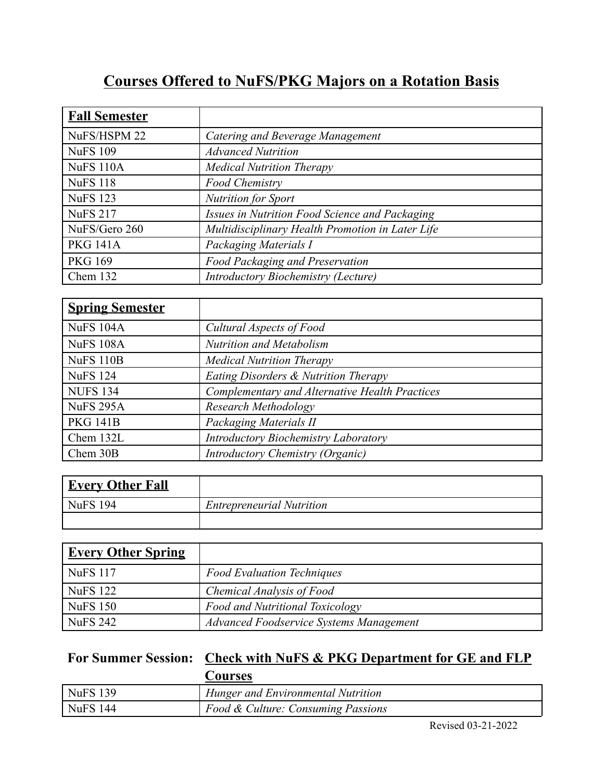## **Courses Offered to NuFS/PKG Majors on a Rotation Basis**

| <b>Fall Semester</b> |                                                  |
|----------------------|--------------------------------------------------|
| NuFS/HSPM 22         | Catering and Beverage Management                 |
| <b>NuFS 109</b>      | <b>Advanced Nutrition</b>                        |
| <b>NuFS 110A</b>     | <b>Medical Nutrition Therapy</b>                 |
| <b>NuFS 118</b>      | <b>Food Chemistry</b>                            |
| <b>NuFS</b> 123      | <b>Nutrition for Sport</b>                       |
| <b>NuFS 217</b>      | Issues in Nutrition Food Science and Packaging   |
| NuFS/Gero 260        | Multidisciplinary Health Promotion in Later Life |
| <b>PKG 141A</b>      | Packaging Materials I                            |
| <b>PKG 169</b>       | <b>Food Packaging and Preservation</b>           |
| Chem $132$           | <b>Introductory Biochemistry (Lecture)</b>       |

| <b>Spring Semester</b> |                                                |
|------------------------|------------------------------------------------|
| NuFS 104A              | Cultural Aspects of Food                       |
| NuFS 108A              | <b>Nutrition and Metabolism</b>                |
| NuFS 110B              | <b>Medical Nutrition Therapy</b>               |
| NuFS 124               | Eating Disorders & Nutrition Therapy           |
| NUFS <sub>134</sub>    | Complementary and Alternative Health Practices |
| NuFS 295A              | Research Methodology                           |
| <b>PKG 141B</b>        | Packaging Materials II                         |
| Chem 132L              | <b>Introductory Biochemistry Laboratory</b>    |
| Chem 30B               | Introductory Chemistry (Organic)               |

| <b>Every Other Fall</b> |                                  |
|-------------------------|----------------------------------|
| $NuFS$ 194              | <b>Entrepreneurial Nutrition</b> |
|                         |                                  |

| <u>Every Other Spring</u> |                                         |
|---------------------------|-----------------------------------------|
| <b>NuFS</b> 117           | <b>Food Evaluation Techniques</b>       |
| <b>NuFS</b> 122           | Chemical Analysis of Food               |
| <b>NuFS 150</b>           | Food and Nutritional Toxicology         |
| <b>NuFS 242</b>           | Advanced Foodservice Systems Management |

## **For Summer Session: Check with NuFS & PKG Department for GE and FLP**

|                  | Courses                            |
|------------------|------------------------------------|
| NuFS 139         | Hunger and Environmental Nutrition |
| $\vert$ NuFS 144 | Food & Culture: Consuming Passions |

Revised 03-21-2022